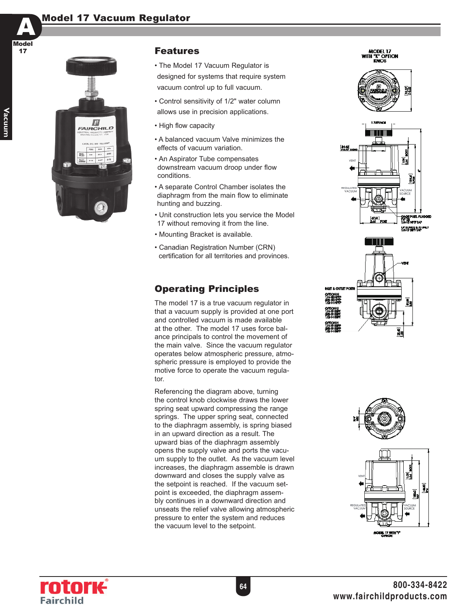#### **Model 17 Vacuum Regulator**



#### **Features**

- The Model 17 Vacuum Regulator is designed for systems that require system vacuum control up to full vacuum.
- Control sensitivity of 1/2" water column allows use in precision applications.
- High flow capacity
- A balanced vacuum Valve minimizes the effects of vacuum variation.
- An Aspirator Tube compensates downstream vacuum droop under flow conditions.
- A separate Control Chamber isolates the diaphragm from the main flow to eliminate hunting and buzzing.
- Unit construction lets you service the Model 17 without removing it from the line.
- Mounting Bracket is available.
- Canadian Registration Number (CRN) certification for all territories and provinces.

### Operating Principles

The model 17 is a true vacuum regulator in that a vacuum supply is provided at one port and controlled vacuum is made available at the other. The model 17 uses force balance principals to control the movement of the main valve. Since the vacuum regulator operates below atmospheric pressure, atmospheric pressure is employed to provide the motive force to operate the vacuum regulator.

Referencing the diagram above, turning the control knob clockwise draws the lower spring seat upward compressing the range springs. The upper spring seat, connected to the diaphragm assembly, is spring biased in an upward direction as a result. The upward bias of the diaphragm assembly opens the supply valve and ports the vacuum supply to the outlet. As the vacuum level increases, the diaphragm assemble is drawn downward and closes the supply valve as the setpoint is reached. If the vacuum setpoint is exceeded, the diaphragm assembly continues in a downward direction and unseats the relief valve allowing atmospheric pressure to enter the system and reduces the vacuum level to the setpoint.

MODEL 17<br>WITH "K" OPTION **KNOB**